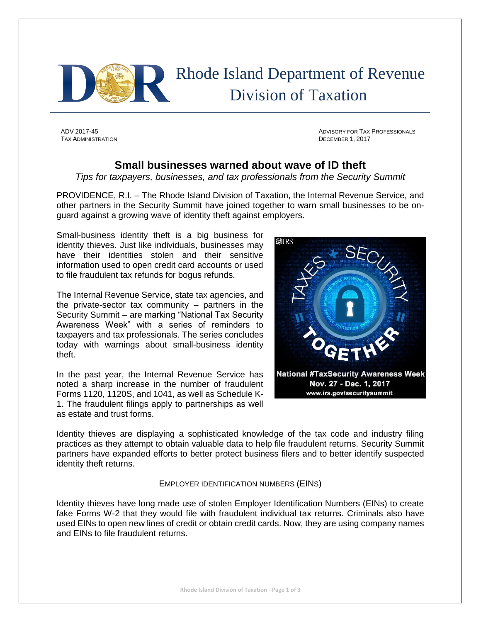

 Rhode Island Department of Revenue Division of Taxation

TAX ADMINISTRATION **DECEMBER 1, 2017** 

ADV 2017-45 ADVISORY FOR TAX PROFESSIONALS

## **Small businesses warned about wave of ID theft**

*Tips for taxpayers, businesses, and tax professionals from the Security Summit*

PROVIDENCE, R.I. – The Rhode Island Division of Taxation, the Internal Revenue Service, and other partners in the Security Summit have joined together to warn small businesses to be onguard against a growing wave of identity theft against employers.

Small-business identity theft is a big business for identity thieves. Just like individuals, businesses may have their identities stolen and their sensitive information used to open credit card accounts or used to file fraudulent tax refunds for bogus refunds.

The Internal Revenue Service, state tax agencies, and the private-sector tax community – partners in the Security Summit – are marking "National Tax Security Awareness Week" with a series of reminders to taxpayers and tax professionals. The series concludes today with warnings about small-business identity theft.

In the past year, the Internal Revenue Service has noted a sharp increase in the number of fraudulent Forms 1120, 1120S, and 1041, as well as Schedule K-1. The fraudulent filings apply to partnerships as well as estate and trust forms.



Identity thieves are displaying a sophisticated knowledge of the tax code and industry filing practices as they attempt to obtain valuable data to help file fraudulent returns. Security Summit partners have expanded efforts to better protect business filers and to better identify suspected identity theft returns.

## EMPLOYER IDENTIFICATION NUMBERS (EINS)

Identity thieves have long made use of stolen Employer Identification Numbers (EINs) to create fake Forms W-2 that they would file with fraudulent individual tax returns. Criminals also have used EINs to open new lines of credit or obtain credit cards. Now, they are using company names and EINs to file fraudulent returns.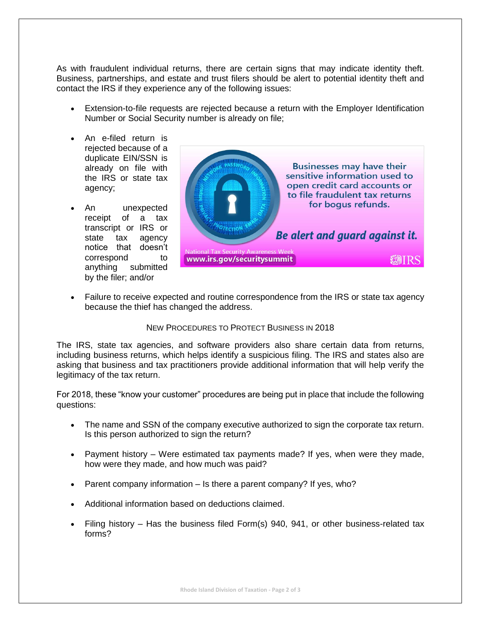As with fraudulent individual returns, there are certain signs that may indicate identity theft. Business, partnerships, and estate and trust filers should be alert to potential identity theft and contact the IRS if they experience any of the following issues:

- Extension-to-file requests are rejected because a return with the Employer Identification Number or Social Security number is already on file;
- An e-filed return is rejected because of a duplicate EIN/SSN is already on file with the IRS or state tax agency;
- An unexpected receipt of a tax transcript or IRS or state tax agency notice that doesn't correspond to anything submitted by the filer; and/or



 Failure to receive expected and routine correspondence from the IRS or state tax agency because the thief has changed the address.

## NEW PROCEDURES TO PROTECT BUSINESS IN 2018

The IRS, state tax agencies, and software providers also share certain data from returns, including business returns, which helps identify a suspicious filing. The IRS and states also are asking that business and tax practitioners provide additional information that will help verify the legitimacy of the tax return.

For 2018, these "know your customer" procedures are being put in place that include the following questions:

- The name and SSN of the company executive authorized to sign the corporate tax return. Is this person authorized to sign the return?
- Payment history Were estimated tax payments made? If yes, when were they made, how were they made, and how much was paid?
- Parent company information Is there a parent company? If yes, who?
- Additional information based on deductions claimed.
- Filing history Has the business filed Form(s) 940, 941, or other business-related tax forms?